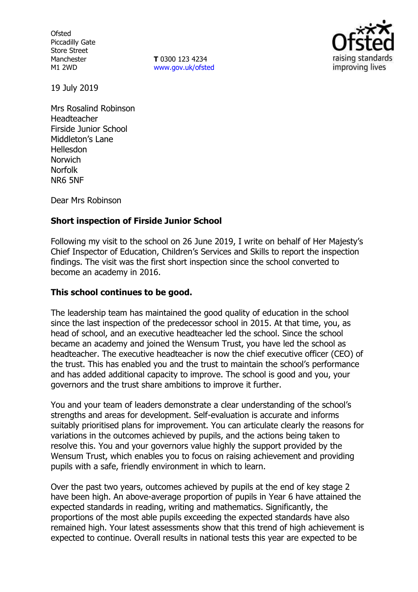**Ofsted** Piccadilly Gate Store Street Manchester M1 2WD

**T** 0300 123 4234 www.gov.uk/ofsted



19 July 2019

Mrs Rosalind Robinson Headteacher Firside Junior School Middleton's Lane Hellesdon **Norwich** Norfolk NR6 5NF

Dear Mrs Robinson

# **Short inspection of Firside Junior School**

Following my visit to the school on 26 June 2019, I write on behalf of Her Majesty's Chief Inspector of Education, Children's Services and Skills to report the inspection findings. The visit was the first short inspection since the school converted to become an academy in 2016.

## **This school continues to be good.**

The leadership team has maintained the good quality of education in the school since the last inspection of the predecessor school in 2015. At that time, you, as head of school, and an executive headteacher led the school. Since the school became an academy and joined the Wensum Trust, you have led the school as headteacher. The executive headteacher is now the chief executive officer (CEO) of the trust. This has enabled you and the trust to maintain the school's performance and has added additional capacity to improve. The school is good and you, your governors and the trust share ambitions to improve it further.

You and your team of leaders demonstrate a clear understanding of the school's strengths and areas for development. Self-evaluation is accurate and informs suitably prioritised plans for improvement. You can articulate clearly the reasons for variations in the outcomes achieved by pupils, and the actions being taken to resolve this. You and your governors value highly the support provided by the Wensum Trust, which enables you to focus on raising achievement and providing pupils with a safe, friendly environment in which to learn.

Over the past two years, outcomes achieved by pupils at the end of key stage 2 have been high. An above-average proportion of pupils in Year 6 have attained the expected standards in reading, writing and mathematics. Significantly, the proportions of the most able pupils exceeding the expected standards have also remained high. Your latest assessments show that this trend of high achievement is expected to continue. Overall results in national tests this year are expected to be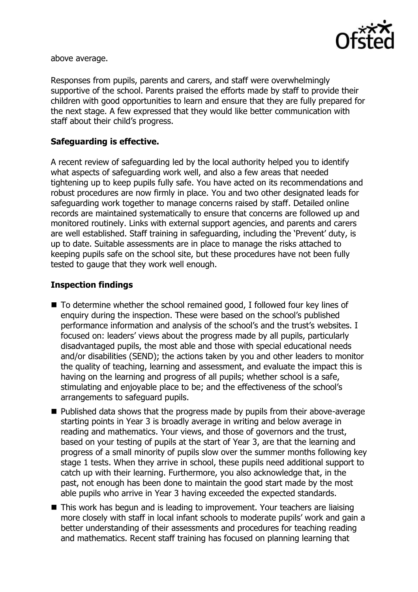

above average.

Responses from pupils, parents and carers, and staff were overwhelmingly supportive of the school. Parents praised the efforts made by staff to provide their children with good opportunities to learn and ensure that they are fully prepared for the next stage. A few expressed that they would like better communication with staff about their child's progress.

# **Safeguarding is effective.**

A recent review of safeguarding led by the local authority helped you to identify what aspects of safeguarding work well, and also a few areas that needed tightening up to keep pupils fully safe. You have acted on its recommendations and robust procedures are now firmly in place. You and two other designated leads for safeguarding work together to manage concerns raised by staff. Detailed online records are maintained systematically to ensure that concerns are followed up and monitored routinely. Links with external support agencies, and parents and carers are well established. Staff training in safeguarding, including the 'Prevent' duty, is up to date. Suitable assessments are in place to manage the risks attached to keeping pupils safe on the school site, but these procedures have not been fully tested to gauge that they work well enough.

## **Inspection findings**

- To determine whether the school remained good, I followed four key lines of enquiry during the inspection. These were based on the school's published performance information and analysis of the school's and the trust's websites. I focused on: leaders' views about the progress made by all pupils, particularly disadvantaged pupils, the most able and those with special educational needs and/or disabilities (SEND); the actions taken by you and other leaders to monitor the quality of teaching, learning and assessment, and evaluate the impact this is having on the learning and progress of all pupils; whether school is a safe, stimulating and enjoyable place to be; and the effectiveness of the school's arrangements to safeguard pupils.
- Published data shows that the progress made by pupils from their above-average starting points in Year 3 is broadly average in writing and below average in reading and mathematics. Your views, and those of governors and the trust, based on your testing of pupils at the start of Year 3, are that the learning and progress of a small minority of pupils slow over the summer months following key stage 1 tests. When they arrive in school, these pupils need additional support to catch up with their learning. Furthermore, you also acknowledge that, in the past, not enough has been done to maintain the good start made by the most able pupils who arrive in Year 3 having exceeded the expected standards.
- This work has begun and is leading to improvement. Your teachers are liaising more closely with staff in local infant schools to moderate pupils' work and gain a better understanding of their assessments and procedures for teaching reading and mathematics. Recent staff training has focused on planning learning that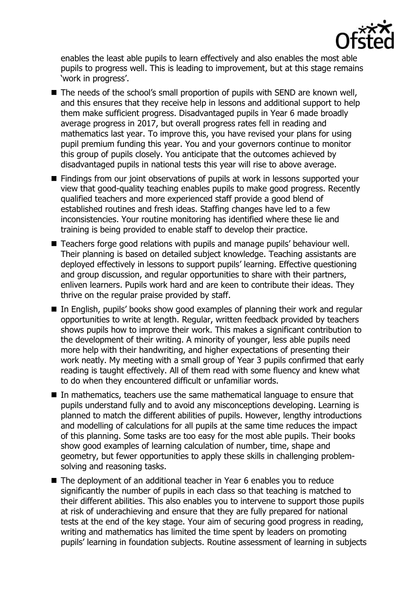

enables the least able pupils to learn effectively and also enables the most able pupils to progress well. This is leading to improvement, but at this stage remains 'work in progress'.

- The needs of the school's small proportion of pupils with SEND are known well, and this ensures that they receive help in lessons and additional support to help them make sufficient progress. Disadvantaged pupils in Year 6 made broadly average progress in 2017, but overall progress rates fell in reading and mathematics last year. To improve this, you have revised your plans for using pupil premium funding this year. You and your governors continue to monitor this group of pupils closely. You anticipate that the outcomes achieved by disadvantaged pupils in national tests this year will rise to above average.
- **Findings from our joint observations of pupils at work in lessons supported your** view that good-quality teaching enables pupils to make good progress. Recently qualified teachers and more experienced staff provide a good blend of established routines and fresh ideas. Staffing changes have led to a few inconsistencies. Your routine monitoring has identified where these lie and training is being provided to enable staff to develop their practice.
- Teachers forge good relations with pupils and manage pupils' behaviour well. Their planning is based on detailed subject knowledge. Teaching assistants are deployed effectively in lessons to support pupils' learning. Effective questioning and group discussion, and regular opportunities to share with their partners, enliven learners. Pupils work hard and are keen to contribute their ideas. They thrive on the regular praise provided by staff.
- In English, pupils' books show good examples of planning their work and regular opportunities to write at length. Regular, written feedback provided by teachers shows pupils how to improve their work. This makes a significant contribution to the development of their writing. A minority of younger, less able pupils need more help with their handwriting, and higher expectations of presenting their work neatly. My meeting with a small group of Year 3 pupils confirmed that early reading is taught effectively. All of them read with some fluency and knew what to do when they encountered difficult or unfamiliar words.
- In mathematics, teachers use the same mathematical language to ensure that pupils understand fully and to avoid any misconceptions developing. Learning is planned to match the different abilities of pupils. However, lengthy introductions and modelling of calculations for all pupils at the same time reduces the impact of this planning. Some tasks are too easy for the most able pupils. Their books show good examples of learning calculation of number, time, shape and geometry, but fewer opportunities to apply these skills in challenging problemsolving and reasoning tasks.
- The deployment of an additional teacher in Year 6 enables you to reduce significantly the number of pupils in each class so that teaching is matched to their different abilities. This also enables you to intervene to support those pupils at risk of underachieving and ensure that they are fully prepared for national tests at the end of the key stage. Your aim of securing good progress in reading, writing and mathematics has limited the time spent by leaders on promoting pupils' learning in foundation subjects. Routine assessment of learning in subjects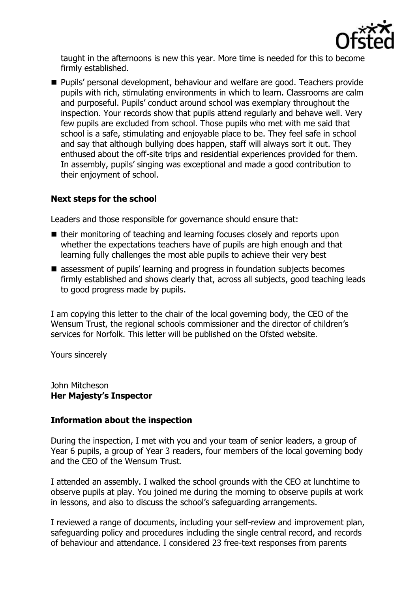

taught in the afternoons is new this year. More time is needed for this to become firmly established.

**Pupils' personal development, behaviour and welfare are good. Teachers provide** pupils with rich, stimulating environments in which to learn. Classrooms are calm and purposeful. Pupils' conduct around school was exemplary throughout the inspection. Your records show that pupils attend regularly and behave well. Very few pupils are excluded from school. Those pupils who met with me said that school is a safe, stimulating and enjoyable place to be. They feel safe in school and say that although bullying does happen, staff will always sort it out. They enthused about the off-site trips and residential experiences provided for them. In assembly, pupils' singing was exceptional and made a good contribution to their enjoyment of school.

# **Next steps for the school**

Leaders and those responsible for governance should ensure that:

- their monitoring of teaching and learning focuses closely and reports upon whether the expectations teachers have of pupils are high enough and that learning fully challenges the most able pupils to achieve their very best
- standary assessment of pupils' learning and progress in foundation subjects becomes firmly established and shows clearly that, across all subjects, good teaching leads to good progress made by pupils.

I am copying this letter to the chair of the local governing body, the CEO of the Wensum Trust, the regional schools commissioner and the director of children's services for Norfolk. This letter will be published on the Ofsted website.

Yours sincerely

John Mitcheson **Her Majesty's Inspector**

## **Information about the inspection**

During the inspection, I met with you and your team of senior leaders, a group of Year 6 pupils, a group of Year 3 readers, four members of the local governing body and the CEO of the Wensum Trust.

I attended an assembly. I walked the school grounds with the CEO at lunchtime to observe pupils at play. You joined me during the morning to observe pupils at work in lessons, and also to discuss the school's safeguarding arrangements.

I reviewed a range of documents, including your self-review and improvement plan, safeguarding policy and procedures including the single central record, and records of behaviour and attendance. I considered 23 free-text responses from parents